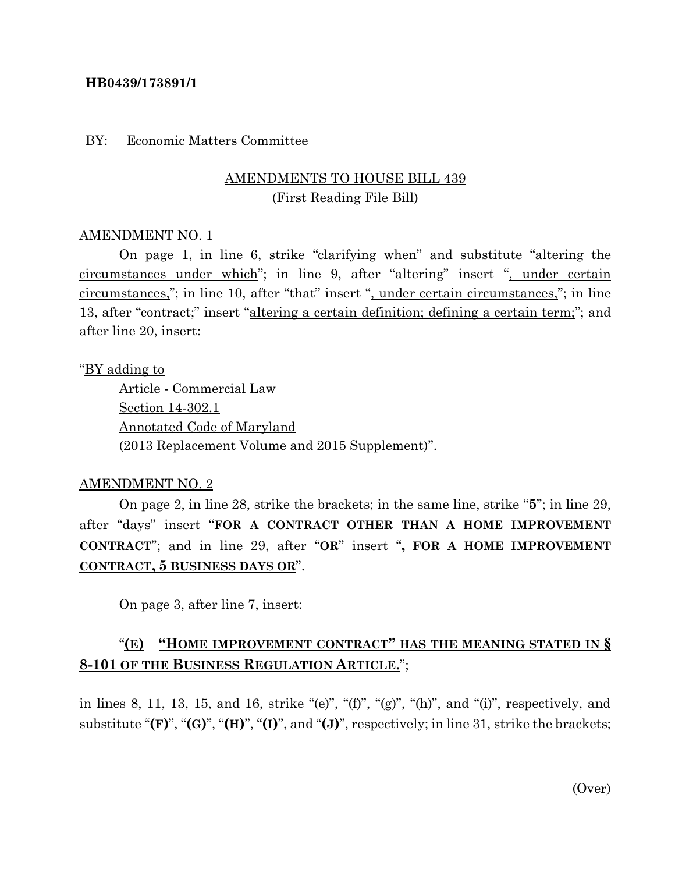### **HB0439/173891/1**

#### BY: Economic Matters Committee

## AMENDMENTS TO HOUSE BILL 439 (First Reading File Bill)

### AMENDMENT NO. 1

On page 1, in line 6, strike "clarifying when" and substitute "altering the circumstances under which"; in line 9, after "altering" insert ", under certain circumstances,"; in line 10, after "that" insert ", under certain circumstances,"; in line 13, after "contract;" insert "altering a certain definition; defining a certain term;"; and after line 20, insert:

### "BY adding to

Article - Commercial Law Section 14-302.1 Annotated Code of Maryland (2013 Replacement Volume and 2015 Supplement)".

### AMENDMENT NO. 2

On page 2, in line 28, strike the brackets; in the same line, strike "**5**"; in line 29, after "days" insert "**FOR A CONTRACT OTHER THAN A HOME IMPROVEMENT CONTRACT**"; and in line 29, after "**OR**" insert "**, FOR A HOME IMPROVEMENT CONTRACT, 5 BUSINESS DAYS OR**".

On page 3, after line 7, insert:

## "**(E) "HOME IMPROVEMENT CONTRACT" HAS THE MEANING STATED IN § 8-101 OF THE BUSINESS REGULATION ARTICLE.**";

in lines 8, 11, 13, 15, and 16, strike "(e)", "(f)", "(g)", "(h)", and "(i)", respectively, and substitute " $(F)$ ", " $(G)$ ", " $(H)$ ", " $(I)$ ", and " $(J)$ ", respectively; in line 31, strike the brackets;

(Over)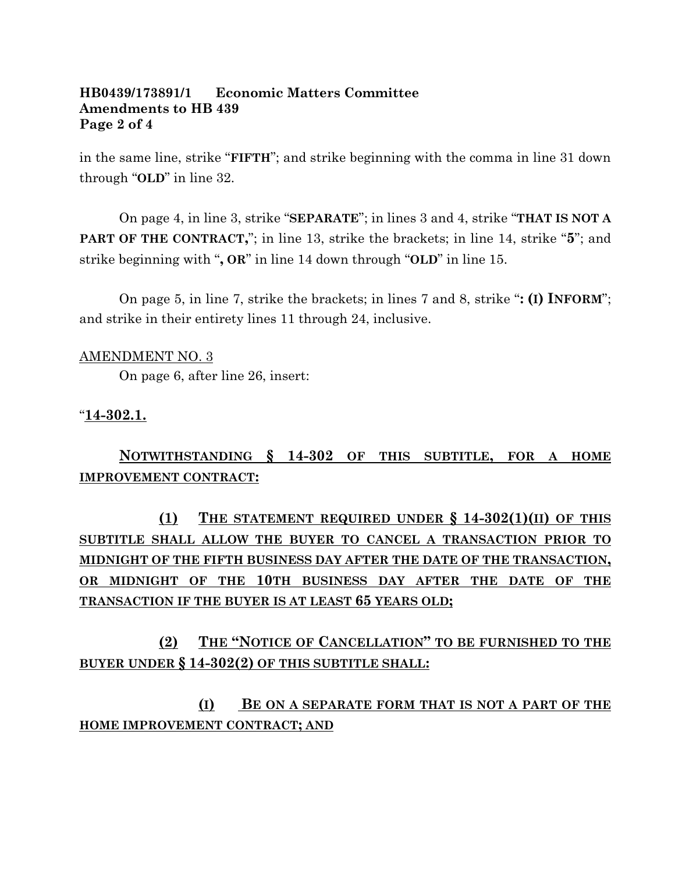### **HB0439/173891/1 Economic Matters Committee Amendments to HB 439 Page 2 of 4**

in the same line, strike "**FIFTH**"; and strike beginning with the comma in line 31 down through "**OLD**" in line 32.

On page 4, in line 3, strike "**SEPARATE**"; in lines 3 and 4, strike "**THAT IS NOT A PART OF THE CONTRACT,**"; in line 13, strike the brackets; in line 14, strike "**5**"; and strike beginning with "**, OR**" in line 14 down through "**OLD**" in line 15.

On page 5, in line 7, strike the brackets; in lines 7 and 8, strike "**: (I) INFORM**"; and strike in their entirety lines 11 through 24, inclusive.

## AMENDMENT NO. 3

On page 6, after line 26, insert:

### "**14-302.1.**

**NOTWITHSTANDING § 14-302 OF THIS SUBTITLE, FOR A HOME IMPROVEMENT CONTRACT:**

**(1) THE STATEMENT REQUIRED UNDER § 14-302(1)(II) OF THIS SUBTITLE SHALL ALLOW THE BUYER TO CANCEL A TRANSACTION PRIOR TO MIDNIGHT OF THE FIFTH BUSINESS DAY AFTER THE DATE OF THE TRANSACTION, OR MIDNIGHT OF THE 10TH BUSINESS DAY AFTER THE DATE OF THE TRANSACTION IF THE BUYER IS AT LEAST 65 YEARS OLD;**

## **(2) THE "NOTICE OF CANCELLATION" TO BE FURNISHED TO THE BUYER UNDER § 14-302(2) OF THIS SUBTITLE SHALL:**

# **(I) BE ON A SEPARATE FORM THAT IS NOT A PART OF THE HOME IMPROVEMENT CONTRACT; AND**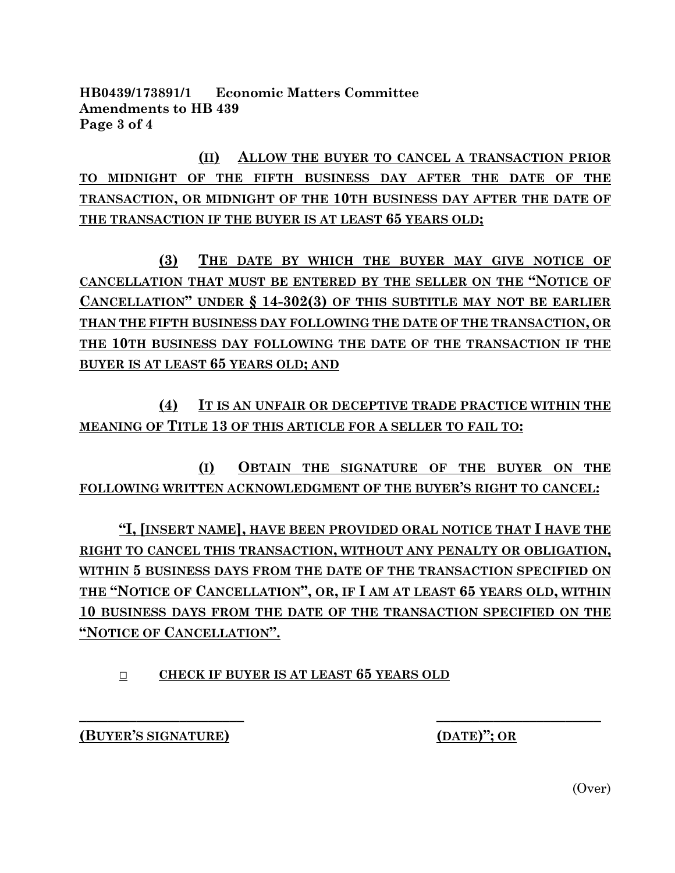**HB0439/173891/1 Economic Matters Committee Amendments to HB 439 Page 3 of 4**

**(II) ALLOW THE BUYER TO CANCEL A TRANSACTION PRIOR TO MIDNIGHT OF THE FIFTH BUSINESS DAY AFTER THE DATE OF THE TRANSACTION, OR MIDNIGHT OF THE 10TH BUSINESS DAY AFTER THE DATE OF THE TRANSACTION IF THE BUYER IS AT LEAST 65 YEARS OLD;**

**(3) THE DATE BY WHICH THE BUYER MAY GIVE NOTICE OF CANCELLATION THAT MUST BE ENTERED BY THE SELLER ON THE "NOTICE OF CANCELLATION" UNDER § 14-302(3) OF THIS SUBTITLE MAY NOT BE EARLIER THAN THE FIFTH BUSINESS DAY FOLLOWING THE DATE OF THE TRANSACTION, OR THE 10TH BUSINESS DAY FOLLOWING THE DATE OF THE TRANSACTION IF THE BUYER IS AT LEAST 65 YEARS OLD; AND**

**(4) IT IS AN UNFAIR OR DECEPTIVE TRADE PRACTICE WITHIN THE MEANING OF TITLE 13 OF THIS ARTICLE FOR A SELLER TO FAIL TO:**

**(I) OBTAIN THE SIGNATURE OF THE BUYER ON THE FOLLOWING WRITTEN ACKNOWLEDGMENT OF THE BUYER'S RIGHT TO CANCEL:**

**"I, [INSERT NAME], HAVE BEEN PROVIDED ORAL NOTICE THAT I HAVE THE RIGHT TO CANCEL THIS TRANSACTION, WITHOUT ANY PENALTY OR OBLIGATION, WITHIN 5 BUSINESS DAYS FROM THE DATE OF THE TRANSACTION SPECIFIED ON THE "NOTICE OF CANCELLATION", OR, IF I AM AT LEAST 65 YEARS OLD, WITHIN 10 BUSINESS DAYS FROM THE DATE OF THE TRANSACTION SPECIFIED ON THE "NOTICE OF CANCELLATION".**

**\_\_\_\_\_\_\_\_\_\_\_\_\_\_\_\_\_\_\_\_\_\_\_ \_\_\_\_\_\_\_\_\_\_\_\_\_\_\_\_\_\_\_\_\_\_\_**

**□ CHECK IF BUYER IS AT LEAST 65 YEARS OLD**

**(BUYER'S SIGNATURE) (DATE)"; OR**

(Over)